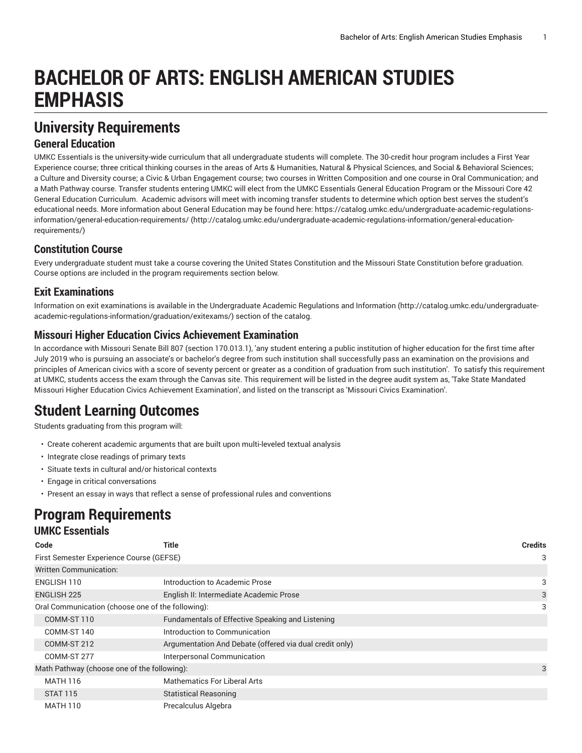# **BACHELOR OF ARTS: ENGLISH AMERICAN STUDIES EMPHASIS**

# **University Requirements**

### **General Education**

UMKC Essentials is the university-wide curriculum that all undergraduate students will complete. The 30-credit hour program includes a First Year Experience course; three critical thinking courses in the areas of Arts & Humanities, Natural & Physical Sciences, and Social & Behavioral Sciences; a Culture and Diversity course; a Civic & Urban Engagement course; two courses in Written Composition and one course in Oral Communication; and a Math Pathway course. Transfer students entering UMKC will elect from the UMKC Essentials General Education Program or the Missouri Core 42 General Education Curriculum. Academic advisors will meet with incoming transfer students to determine which option best serves the student's educational needs. More information about General Education may be found here: [https://catalog.umkc.edu/undergraduate-academic-regulations](http://catalog.umkc.edu/undergraduate-academic-regulations-information/general-education-requirements/)[information/general-education-requirements/](http://catalog.umkc.edu/undergraduate-academic-regulations-information/general-education-requirements/) ([http://catalog.umkc.edu/undergraduate-academic-regulations-information/general-education](http://catalog.umkc.edu/undergraduate-academic-regulations-information/general-education-requirements/)[requirements/\)](http://catalog.umkc.edu/undergraduate-academic-regulations-information/general-education-requirements/)

### **Constitution Course**

Every undergraduate student must take a course covering the United States Constitution and the Missouri State Constitution before graduation. Course options are included in the program requirements section below.

### **Exit Examinations**

Information on exit examinations is available in the [Undergraduate](http://catalog.umkc.edu/undergraduate-academic-regulations-information/graduation/exitexams/) Academic Regulations and Information [\(http://catalog.umkc.edu/undergraduate](http://catalog.umkc.edu/undergraduate-academic-regulations-information/graduation/exitexams/)[academic-regulations-information/graduation/exitexams/](http://catalog.umkc.edu/undergraduate-academic-regulations-information/graduation/exitexams/)) section of the catalog.

### **Missouri Higher Education Civics Achievement Examination**

In accordance with Missouri Senate Bill 807 (section 170.013.1), 'any student entering a public institution of higher education for the first time after July 2019 who is pursuing an associate's or bachelor's degree from such institution shall successfully pass an examination on the provisions and principles of American civics with a score of seventy percent or greater as a condition of graduation from such institution'. To satisfy this requirement at UMKC, students access the exam through the Canvas site. This requirement will be listed in the degree audit system as, 'Take State Mandated Missouri Higher Education Civics Achievement Examination', and listed on the transcript as 'Missouri Civics Examination'.

# **Student Learning Outcomes**

Students graduating from this program will:

- Create coherent academic arguments that are built upon multi-leveled textual analysis
- Integrate close readings of primary texts
- Situate texts in cultural and/or historical contexts
- Engage in critical conversations
- Present an essay in ways that reflect a sense of professional rules and conventions

# **Program Requirements**

### **UMKC Essentials**

| Code                                              | Title                                                   | <b>Credits</b> |
|---------------------------------------------------|---------------------------------------------------------|----------------|
| First Semester Experience Course (GEFSE)          |                                                         |                |
| <b>Written Communication:</b>                     |                                                         |                |
| ENGLISH 110                                       | Introduction to Academic Prose                          | 3              |
| <b>ENGLISH 225</b>                                | English II: Intermediate Academic Prose                 | 3              |
| Oral Communication (choose one of the following): |                                                         | 3              |
| COMM-ST 110                                       | Fundamentals of Effective Speaking and Listening        |                |
| COMM-ST 140                                       | Introduction to Communication                           |                |
| COMM-ST 212                                       | Argumentation And Debate (offered via dual credit only) |                |
| COMM-ST 277                                       | Interpersonal Communication                             |                |
| Math Pathway (choose one of the following):       |                                                         | 3              |
| <b>MATH 116</b>                                   | Mathematics For Liberal Arts                            |                |
| <b>STAT 115</b>                                   | <b>Statistical Reasoning</b>                            |                |
| <b>MATH 110</b>                                   | Precalculus Algebra                                     |                |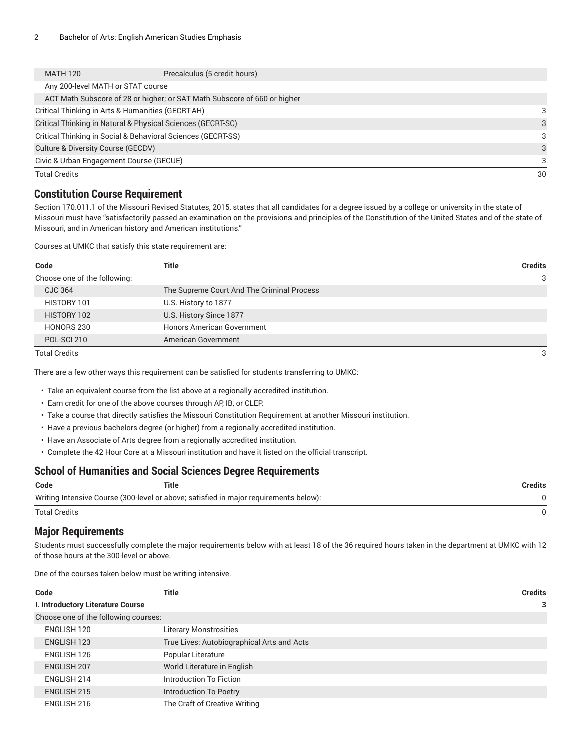| <b>MATH 120</b>                         | Precalculus (5 credit hours)                                             |    |
|-----------------------------------------|--------------------------------------------------------------------------|----|
| Any 200-level MATH or STAT course       |                                                                          |    |
|                                         | ACT Math Subscore of 28 or higher; or SAT Math Subscore of 660 or higher |    |
|                                         | Critical Thinking in Arts & Humanities (GECRT-AH)                        | 3  |
|                                         | Critical Thinking in Natural & Physical Sciences (GECRT-SC)              | 3  |
|                                         | Critical Thinking in Social & Behavioral Sciences (GECRT-SS)             | 3  |
| Culture & Diversity Course (GECDV)      |                                                                          | 3  |
| Civic & Urban Engagement Course (GECUE) |                                                                          | 3  |
| <b>Total Credits</b>                    |                                                                          | 30 |

### **Constitution Course Requirement**

Section 170.011.1 of the Missouri Revised Statutes, 2015, states that all candidates for a degree issued by a college or university in the state of Missouri must have "satisfactorily passed an examination on the provisions and principles of the Constitution of the United States and of the state of Missouri, and in American history and American institutions."

Courses at UMKC that satisfy this state requirement are:

| Code                         | Title                                      | <b>Credits</b> |
|------------------------------|--------------------------------------------|----------------|
| Choose one of the following: |                                            | 3              |
| CJC 364                      | The Supreme Court And The Criminal Process |                |
| HISTORY 101                  | U.S. History to 1877                       |                |
| HISTORY 102                  | U.S. History Since 1877                    |                |
| HONORS 230                   | <b>Honors American Government</b>          |                |
| POL-SCI 210                  | American Government                        |                |

Total Credits 3

There are a few other ways this requirement can be satisfied for students transferring to UMKC:

• Take an equivalent course from the list above at a regionally accredited institution.

- Earn credit for one of the above courses through AP, IB, or CLEP.
- Take a course that directly satisfies the Missouri Constitution Requirement at another Missouri institution.
- Have a previous bachelors degree (or higher) from a regionally accredited institution.
- Have an Associate of Arts degree from a regionally accredited institution.
- Complete the 42 Hour Core at a Missouri institution and have it listed on the official transcript.

#### **School of Humanities and Social Sciences Degree Requirements**

| Code                 | <b>Title</b>                                                                          | Credits |
|----------------------|---------------------------------------------------------------------------------------|---------|
|                      | Writing Intensive Course (300-level or above; satisfied in major requirements below): |         |
| <b>Total Credits</b> |                                                                                       |         |

#### **Major Requirements**

Students must successfully complete the major requirements below with at least 18 of the 36 required hours taken in the department at UMKC with 12 of those hours at the 300-level or above.

One of the courses taken below must be writing intensive.

| Code                                 | Title                                      | <b>Credits</b> |
|--------------------------------------|--------------------------------------------|----------------|
| I. Introductory Literature Course    |                                            | 3              |
| Choose one of the following courses: |                                            |                |
| ENGLISH 120                          | <b>Literary Monstrosities</b>              |                |
| <b>ENGLISH 123</b>                   | True Lives: Autobiographical Arts and Acts |                |
| ENGLISH 126                          | Popular Literature                         |                |
| <b>ENGLISH 207</b>                   | World Literature in English                |                |
| ENGLISH 214                          | Introduction To Fiction                    |                |
| ENGLISH 215                          | Introduction To Poetry                     |                |
| ENGLISH 216                          | The Craft of Creative Writing              |                |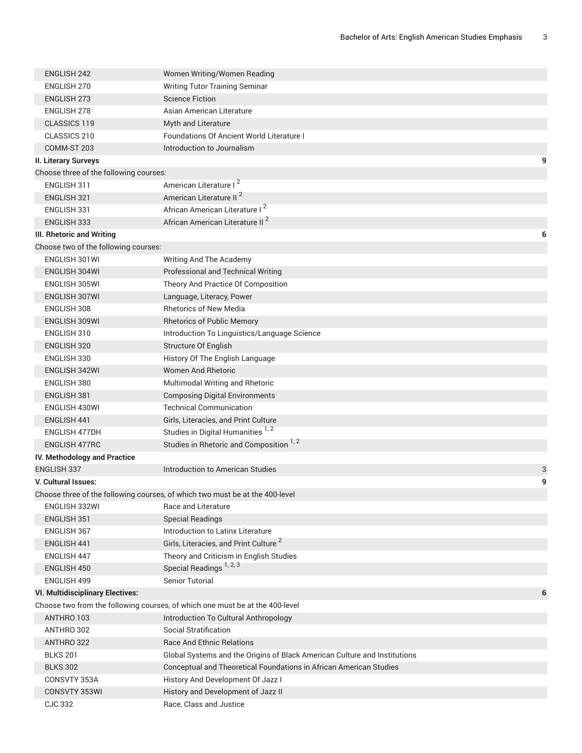| <b>ENGLISH 242</b>                      | Women Writing/Women Reading                                                  |   |
|-----------------------------------------|------------------------------------------------------------------------------|---|
| ENGLISH 270                             | <b>Writing Tutor Training Seminar</b>                                        |   |
| <b>ENGLISH 273</b>                      | <b>Science Fiction</b>                                                       |   |
| <b>ENGLISH 278</b>                      | Asian American Literature                                                    |   |
| <b>CLASSICS 119</b>                     | Myth and Literature                                                          |   |
| CLASSICS 210                            | Foundations Of Ancient World Literature I                                    |   |
| COMM-ST 203                             | Introduction to Journalism                                                   |   |
| II. Literary Surveys                    |                                                                              | 9 |
| Choose three of the following courses:  |                                                                              |   |
| <b>ENGLISH 311</b>                      | American Literature I <sup>2</sup>                                           |   |
| <b>ENGLISH 321</b>                      | American Literature II <sup>2</sup>                                          |   |
| ENGLISH 331                             | African American Literature I <sup>2</sup>                                   |   |
| <b>ENGLISH 333</b>                      | African American Literature II <sup>2</sup>                                  |   |
| <b>III. Rhetoric and Writing</b>        |                                                                              | 6 |
| Choose two of the following courses:    |                                                                              |   |
| ENGLISH 301WI                           | Writing And The Academy                                                      |   |
| ENGLISH 304WI                           | Professional and Technical Writing                                           |   |
| ENGLISH 305WI                           | Theory And Practice Of Composition                                           |   |
| ENGLISH 307WI                           | Language, Literacy, Power                                                    |   |
| ENGLISH 308                             | <b>Rhetorics of New Media</b>                                                |   |
| ENGLISH 309WI                           | <b>Rhetorics of Public Memory</b>                                            |   |
| ENGLISH 310                             | Introduction To Linguistics/Language Science                                 |   |
| <b>ENGLISH 320</b>                      | Structure Of English                                                         |   |
| ENGLISH 330                             | History Of The English Language                                              |   |
| <b>ENGLISH 342WI</b>                    | <b>Women And Rhetoric</b>                                                    |   |
| ENGLISH 380                             | Multimodal Writing and Rhetoric                                              |   |
| <b>ENGLISH 381</b>                      | <b>Composing Digital Environments</b>                                        |   |
| ENGLISH 430WI                           | <b>Technical Communication</b>                                               |   |
| <b>ENGLISH 441</b>                      | Girls, Literacies, and Print Culture                                         |   |
| <b>ENGLISH 477DH</b>                    | Studies in Digital Humanities <sup>1,2</sup>                                 |   |
| <b>ENGLISH 477RC</b>                    | Studies in Rhetoric and Composition <sup>1,2</sup>                           |   |
| IV. Methodology and Practice            |                                                                              |   |
| <b>ENGLISH 337</b>                      | <b>Introduction to American Studies</b>                                      | 3 |
| V. Cultural Issues:                     |                                                                              | 9 |
|                                         | Choose three of the following courses, of which two must be at the 400-level |   |
| ENGLISH 332WI                           | Race and Literature                                                          |   |
| ENGLISH 351                             | <b>Special Readings</b>                                                      |   |
| ENGLISH 367                             | Introduction to Latinx Literature                                            |   |
| ENGLISH 441                             | Girls, Literacies, and Print Culture <sup>2</sup>                            |   |
| <b>ENGLISH 447</b>                      | Theory and Criticism in English Studies                                      |   |
| <b>ENGLISH 450</b>                      | Special Readings <sup>1, 2, 3</sup>                                          |   |
| ENGLISH 499                             | <b>Senior Tutorial</b>                                                       |   |
| <b>VI. Multidisciplinary Electives:</b> |                                                                              | 6 |
|                                         | Choose two from the following courses, of which one must be at the 400-level |   |
| ANTHRO 103                              | Introduction To Cultural Anthropology                                        |   |
| ANTHRO 302                              | Social Stratification<br><b>Race And Ethnic Relations</b>                    |   |
| ANTHRO 322<br><b>BLKS 201</b>           | Global Systems and the Origins of Black American Culture and Institutions    |   |
| <b>BLKS 302</b>                         | Conceptual and Theoretical Foundations in African American Studies           |   |
| CONSVTY 353A                            | History And Development Of Jazz I                                            |   |
| CONSVTY 353WI                           | History and Development of Jazz II                                           |   |
| <b>CJC 332</b>                          | Race, Class and Justice                                                      |   |
|                                         |                                                                              |   |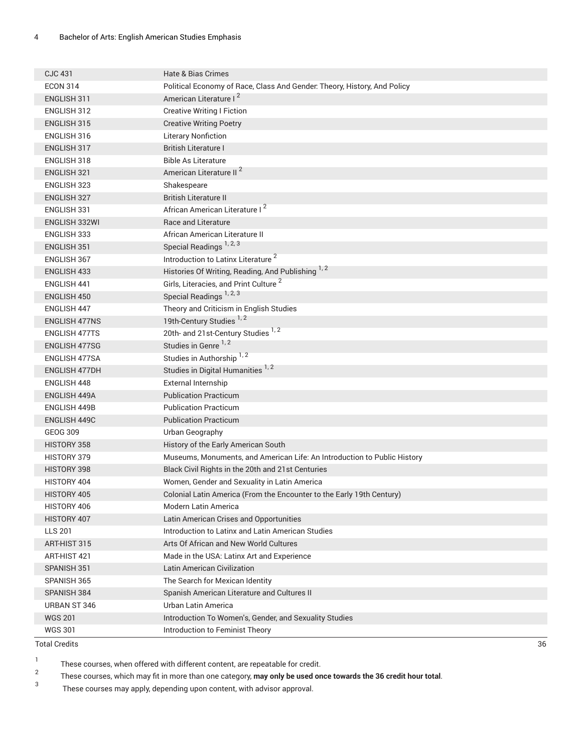| <b>CJC 431</b>       | Hate & Bias Crimes                                                       |
|----------------------|--------------------------------------------------------------------------|
| <b>ECON 314</b>      | Political Economy of Race, Class And Gender. Theory, History, And Policy |
| ENGLISH 311          | American Literature I <sup>2</sup>                                       |
| ENGLISH 312          | <b>Creative Writing I Fiction</b>                                        |
| <b>ENGLISH 315</b>   | <b>Creative Writing Poetry</b>                                           |
| ENGLISH 316          | <b>Literary Nonfiction</b>                                               |
| ENGLISH 317          | <b>British Literature I</b>                                              |
| ENGLISH 318          | <b>Bible As Literature</b>                                               |
| <b>ENGLISH 321</b>   | American Literature II <sup>2</sup>                                      |
| <b>ENGLISH 323</b>   | Shakespeare                                                              |
| <b>ENGLISH 327</b>   | <b>British Literature II</b>                                             |
| ENGLISH 331          | African American Literature I <sup>2</sup>                               |
| ENGLISH 332WI        | Race and Literature                                                      |
| ENGLISH 333          | African American Literature II                                           |
| <b>ENGLISH 351</b>   | Special Readings <sup>1, 2, 3</sup>                                      |
| <b>ENGLISH 367</b>   | Introduction to Latinx Literature <sup>2</sup>                           |
| <b>ENGLISH 433</b>   | Histories Of Writing, Reading, And Publishing 1, 2                       |
| <b>ENGLISH 441</b>   | Girls, Literacies, and Print Culture <sup>2</sup>                        |
| ENGLISH 450          | Special Readings <sup>1, 2, 3</sup>                                      |
| <b>ENGLISH 447</b>   | Theory and Criticism in English Studies                                  |
| <b>ENGLISH 477NS</b> | 19th-Century Studies <sup>1,2</sup>                                      |
| <b>ENGLISH 477TS</b> | 20th- and 21st-Century Studies 1, 2                                      |
| <b>ENGLISH 477SG</b> | Studies in Genre <sup>1,2</sup>                                          |
| <b>ENGLISH 477SA</b> | Studies in Authorship <sup>1,2</sup>                                     |
| <b>ENGLISH 477DH</b> | Studies in Digital Humanities 1, 2                                       |
| <b>ENGLISH 448</b>   | External Internship                                                      |
| <b>ENGLISH 449A</b>  | <b>Publication Practicum</b>                                             |
| <b>ENGLISH 449B</b>  | <b>Publication Practicum</b>                                             |
| <b>ENGLISH 449C</b>  | <b>Publication Practicum</b>                                             |
| <b>GEOG 309</b>      | Urban Geography                                                          |
| HISTORY 358          | History of the Early American South                                      |
| HISTORY 379          | Museums, Monuments, and American Life: An Introduction to Public History |
| HISTORY 398          | Black Civil Rights in the 20th and 21st Centuries                        |
| HISTORY 404          | Women, Gender and Sexuality in Latin America                             |
| HISTORY 405          | Colonial Latin America (From the Encounter to the Early 19th Century)    |
| HISTORY 406          | Modern Latin America                                                     |
| HISTORY 407          | Latin American Crises and Opportunities                                  |
| <b>LLS 201</b>       | Introduction to Latinx and Latin American Studies                        |
| ART-HIST 315         | Arts Of African and New World Cultures                                   |
| ART-HIST 421         | Made in the USA: Latinx Art and Experience                               |
| SPANISH 351          | Latin American Civilization                                              |
| SPANISH 365          | The Search for Mexican Identity                                          |
| SPANISH 384          | Spanish American Literature and Cultures II                              |
| URBAN ST 346         | Urban Latin America                                                      |
| <b>WGS 201</b>       | Introduction To Women's, Gender, and Sexuality Studies                   |
| <b>WGS 301</b>       | Introduction to Feminist Theory                                          |

Total Credits 36

1 These courses, when offered with different content, are repeatable for credit.

2 These courses, which may fit in more than one category, **may only be used once towards the 36 credit hour total**.

3 These courses may apply, depending upon content, with advisor approval.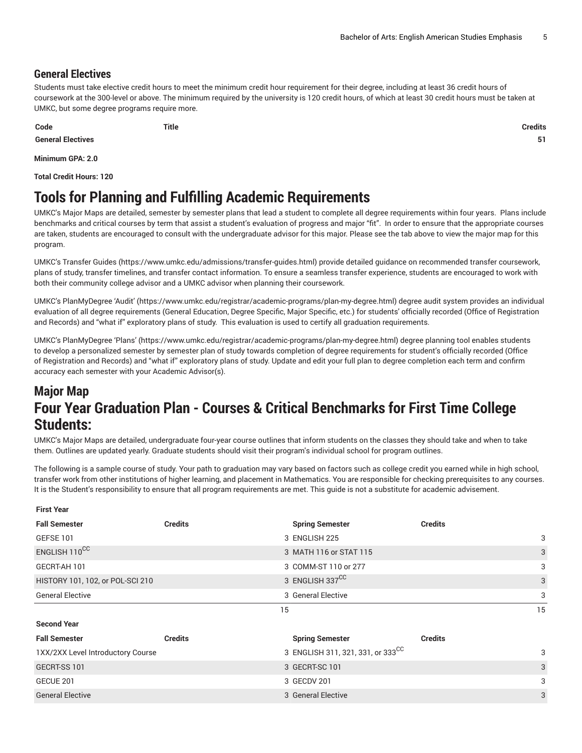### **General Electives**

Students must take elective credit hours to meet the minimum credit hour requirement for their degree, including at least 36 credit hours of coursework at the 300-level or above. The minimum required by the university is 120 credit hours, of which at least 30 credit hours must be taken at UMKC, but some degree programs require more.

**Code Title Credits**

**General Electives 51**

**Minimum GPA: 2.0**

**Total Credit Hours: 120**

# **Tools for Planning and Fulfilling Academic Requirements**

UMKC's Major Maps are detailed, semester by semester plans that lead a student to complete all degree requirements within four years. Plans include benchmarks and critical courses by term that assist a student's evaluation of progress and major "fit". In order to ensure that the appropriate courses are taken, students are encouraged to consult with the undergraduate advisor for this major. Please see the tab above to view the major map for this program.

UMKC's [Transfer](https://www.umkc.edu/admissions/transfer-guides.html) Guides [\(https://www.umkc.edu/admissions/transfer-guides.html](https://www.umkc.edu/admissions/transfer-guides.html)) provide detailed guidance on recommended transfer coursework, plans of study, transfer timelines, and transfer contact information. To ensure a seamless transfer experience, students are encouraged to work with both their community college advisor and a UMKC advisor when planning their coursework.

UMKC's [PlanMyDegree](https://www.umkc.edu/registrar/academic-programs/plan-my-degree.html) 'Audit' ([https://www.umkc.edu/registrar/academic-programs/plan-my-degree.html\)](https://www.umkc.edu/registrar/academic-programs/plan-my-degree.html) degree audit system provides an individual evaluation of all degree requirements (General Education, Degree Specific, Major Specific, etc.) for students' officially recorded (Office of Registration and Records) and "what if" exploratory plans of study. This evaluation is used to certify all graduation requirements.

UMKC's [PlanMyDegree](https://www.umkc.edu/registrar/academic-programs/plan-my-degree.html) 'Plans' [\(https://www.umkc.edu/registrar/academic-programs/plan-my-degree.html\)](https://www.umkc.edu/registrar/academic-programs/plan-my-degree.html) degree planning tool enables students to develop a personalized semester by semester plan of study towards completion of degree requirements for student's officially recorded (Office of Registration and Records) and "what if" exploratory plans of study. Update and edit your full plan to degree completion each term and confirm accuracy each semester with your Academic Advisor(s).

### **Major Map Four Year Graduation Plan - Courses & Critical Benchmarks for First Time College Students:**

UMKC's Major Maps are detailed, undergraduate four-year course outlines that inform students on the classes they should take and when to take them. Outlines are updated yearly. Graduate students should visit their program's individual school for program outlines.

The following is a sample course of study. Your path to graduation may vary based on factors such as college credit you earned while in high school, transfer work from other institutions of higher learning, and placement in Mathematics. You are responsible for checking prerequisites to any courses. It is the Student's responsibility to ensure that all program requirements are met. This guide is not a substitute for academic advisement.

| <b>First Year</b>                 |                |                                               |                |    |
|-----------------------------------|----------------|-----------------------------------------------|----------------|----|
| <b>Fall Semester</b>              | <b>Credits</b> | <b>Spring Semester</b>                        | <b>Credits</b> |    |
| GEFSE 101                         |                | 3 ENGLISH 225                                 |                | 3  |
| ENGLISH 110CC                     |                | 3 MATH 116 or STAT 115                        |                | 3  |
| GECRT-AH 101                      |                | 3 COMM-ST 110 or 277                          |                | 3  |
| HISTORY 101, 102, or POL-SCI 210  |                | 3 ENGLISH 337 <sup>CC</sup>                   |                | 3  |
| <b>General Elective</b>           |                | 3 General Elective                            |                | 3  |
|                                   |                | 15                                            |                | 15 |
|                                   |                |                                               |                |    |
| <b>Second Year</b>                |                |                                               |                |    |
| <b>Fall Semester</b>              | <b>Credits</b> | <b>Spring Semester</b>                        | <b>Credits</b> |    |
| 1XX/2XX Level Introductory Course |                | 3 ENGLISH 311, 321, 331, or 333 <sup>CC</sup> |                | 3  |
| GECRT-SS 101                      |                | 3 GECRT-SC 101                                |                | 3  |
| GECUE 201                         |                | 3 GECDV 201                                   |                | 3  |